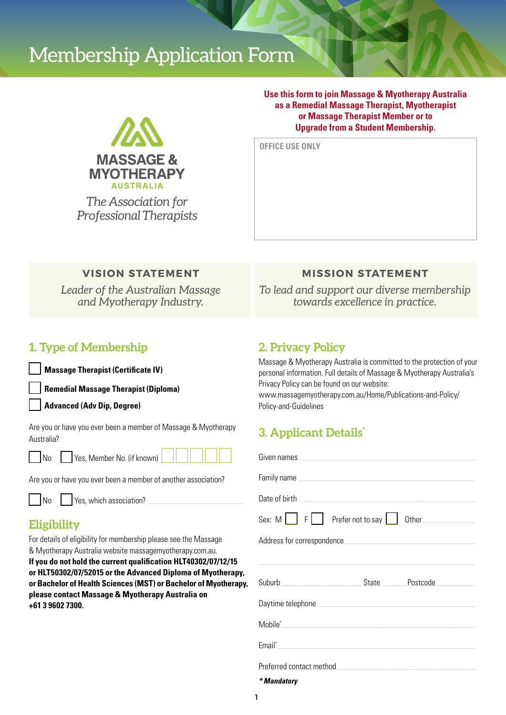# Membership Application Form



*The Association for Professional Therapists* **Use this form to join Massage & Myotherapy Australia as a Remedial Massage Therapist, Myotherapist or Massage Therapist Member or to Upgrade from a Student Membership.**

**OFFICE USE ONLY** 

#### **VISION STATEMENT**

*Leader of the Australian Massage and Myotherapy Industry.*

### **MISSION STATEMENT**

*To lead and support our diverse membership towards excellence in practice.*

### **1. Type of Membership**

**Massage Therapist (Certificate IV)**

**Remedial Massage Therapist (Diploma)**

**Advanced (Adv Dip, Degree)**

Are you or have you ever been a member of Massage & Myotherapy Australia?



No Yes, Member No. (if known)

Are you or have you ever been a member of another association?

|--|

Yes, which association?

## **Eligibility**

For details of eligibility for membership please see the Massage & Myotherapy Australia website massagemyotherapy.com.au.

**If you do not hold the current qualification HLT40302/07/12/15 or HLT50302/07/52015 or the Advanced Diploma of Myotherapy, or Bachelor of Health Sciences (MST) or Bachelor of Myotherapy, please contact Massage & Myotherapy Australia on +61 3 9602 7300.**

### **2. Privacy Policy**

Massage & Myotherapy Australia is committed to the protection of your personal information. Full details of Massage & Myotherapy Australia's Privacy Policy can be found on our website: www.massagemyotherapy.com.au/Home/Publications-and-Policy/

Policy-and-Guidelines

# **3. Applicant Details\***

| Family name experience and the state of the state of the state of the state of the state of the state of the state of the state of the state of the state of the state of the state of the state of the state of the state of |  |  |  |
|-------------------------------------------------------------------------------------------------------------------------------------------------------------------------------------------------------------------------------|--|--|--|
|                                                                                                                                                                                                                               |  |  |  |
| Sex: M   F   Prefer not to say   Other                                                                                                                                                                                        |  |  |  |
|                                                                                                                                                                                                                               |  |  |  |
|                                                                                                                                                                                                                               |  |  |  |
|                                                                                                                                                                                                                               |  |  |  |
|                                                                                                                                                                                                                               |  |  |  |
|                                                                                                                                                                                                                               |  |  |  |
|                                                                                                                                                                                                                               |  |  |  |
|                                                                                                                                                                                                                               |  |  |  |
| * Mandatory                                                                                                                                                                                                                   |  |  |  |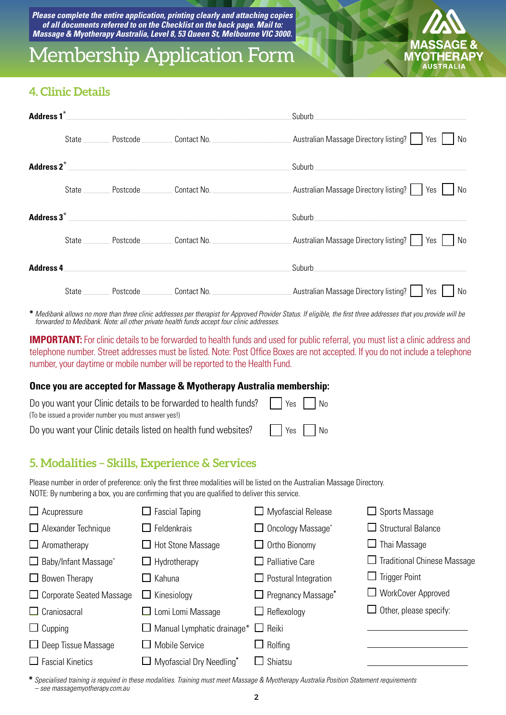*Please complete the entire application, printing clearly and attaching copies of all documents referred to on the Checklist on the back page. Mail to: Massage & Myotherapy Australia, Level 8, 53 Queen St, Melbourne VIC 3000.* 

# Membership Application Form



### **4. Clinic Details**

| Address 1 <sup>*</sup> |       |                                                                                                                      |                                              | Suburb_                                                 |
|------------------------|-------|----------------------------------------------------------------------------------------------------------------------|----------------------------------------------|---------------------------------------------------------|
|                        | State | Postcode                                                                                                             | Contact No. <b>Contact No.</b>               | Australian Massage Directory listing?<br>Yes<br>No      |
| Address 2 <sup>*</sup> |       | <u> 1980 - Johann Stein, mars an deutscher Stein und der Stein und der Stein und der Stein und der Stein und der</u> |                                              | Suburb <b>Exercía de Suburb</b>                         |
|                        | State | Postcode                                                                                                             | Contact No.                                  | Australian Massage Directory listing?   Yes  <br>  No   |
| Address $3^*$          |       |                                                                                                                      |                                              | Suburb                                                  |
|                        | State | Postcode                                                                                                             | Contact No.                                  | Australian Massage Directory listing?     Yes  <br>l No |
| <b>Address 4</b>       |       |                                                                                                                      |                                              | Suburb                                                  |
|                        | State | Postcode                                                                                                             | Contact No. The contract of the contract No. | Australian Massage Directory listing?<br>No<br>Yes      |

**\*** *Medibank allows no more than three clinic addresses per therapist for Approved Provider Status. If eligible, the first three addresses that you provide will be forwarded to Medibank. Note: all other private health funds accept four clinic addresses.*

**IMPORTANT:** For clinic details to be forwarded to health funds and used for public referral, you must list a clinic address and telephone number. Street addresses must be listed. Note: Post Office Boxes are not accepted. If you do not include a telephone number, your daytime or mobile number will be reported to the Health Fund.

#### **Once you are accepted for Massage & Myotherapy Australia membership:**

| Do you want your Clinic details to be forwarded to health funds? $\Box$ Yes $\Box$ No |  |
|---------------------------------------------------------------------------------------|--|
| (To be issued a provider number you must answer yes!)                                 |  |
| Do you want your Clinic details listed on health fund websites? $\Box$ Yes $\Box$ No  |  |

## **5. Modalities – Skills, Experience & Services**

Please number in order of preference: only the first three modalities will be listed on the Australian Massage Directory. NOTE: By numbering a box, you are confirming that you are qualified to deliver this service.

| $\Box$ Acupressure              | $\Box$ Fascial Taping                                      | $\Box$ Myofascial Release              | Sports Massage                     |
|---------------------------------|------------------------------------------------------------|----------------------------------------|------------------------------------|
| $\Box$ Alexander Technique      | $\Box$ Feldenkrais                                         | Oncology Massage*<br>Ш                 | $\Box$ Structural Balance          |
| $\Box$ Aromatherapy             | $\Box$ Hot Stone Massage                                   | $\Box$ Ortho Bionomy                   | $\Box$ Thai Massage                |
| $\Box$ Baby/Infant Massage*     | $\Box$ Hydrotherapy                                        | <b>Palliative Care</b><br>$\mathbf{L}$ | <b>Traditional Chinese Massage</b> |
| $\Box$ Bowen Therapy            | $\Box$ Kahuna                                              | $\Box$ Postural Integration            | <b>Trigger Point</b>               |
| $\Box$ Corporate Seated Massage | $\Box$ Kinesiology                                         | $\Box$ Pregnancy Massage <sup>*</sup>  | $\Box$ WorkCover Approved          |
| $\Box$ Craniosacral             | $\Box$ Lomi Lomi Massage                                   | Reflexology<br>$\Box$                  | $\Box$ Other, please specify:      |
| $\Box$ Cupping                  | $\Box$ Manual Lymphatic drainage <sup>*</sup> $\Box$ Reiki |                                        |                                    |
| $\Box$ Deep Tissue Massage      | $\square$ Mobile Service                                   | $\Box$ Rolfing                         |                                    |
| $\Box$ Fascial Kinetics         | $\Box$ Myofascial Dry Needling*                            | Shiatsu                                |                                    |

**\*** *Specialised training is required in these modalities. Training must meet Massage & Myotherapy Australia Position Statement requirements – see massagemyotherapy.com.au*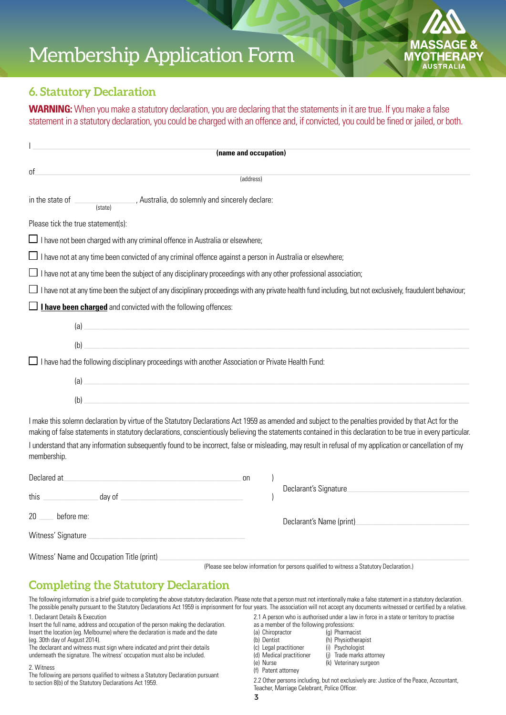# Membership Application Form



#### **6. Statutory Declaration**

**WARNING:** When you make a statutory declaration, you are declaring that the statements in it are true. If you make a false statement in a statutory declaration, you could be charged with an offence and, if convicted, you could be fined or jailed, or both.

| (name and occupation)                                                                                                                                                                                                                                                                                                |
|----------------------------------------------------------------------------------------------------------------------------------------------------------------------------------------------------------------------------------------------------------------------------------------------------------------------|
|                                                                                                                                                                                                                                                                                                                      |
| οf<br>(address)                                                                                                                                                                                                                                                                                                      |
|                                                                                                                                                                                                                                                                                                                      |
| Please tick the true statement(s):                                                                                                                                                                                                                                                                                   |
| $\Box$ I have not been charged with any criminal offence in Australia or elsewhere;                                                                                                                                                                                                                                  |
| $\Box$ I have not at any time been convicted of any criminal offence against a person in Australia or elsewhere;                                                                                                                                                                                                     |
| $\Box$ I have not at any time been the subject of any disciplinary proceedings with any other professional association;                                                                                                                                                                                              |
| I have not at any time been the subject of any disciplinary proceedings with any private health fund including, but not exclusively, fraudulent behaviour;                                                                                                                                                           |
| $\Box$ <b>I have been charged</b> and convicted with the following offences:                                                                                                                                                                                                                                         |
| $\left( a\right)$                                                                                                                                                                                                                                                                                                    |
| (b)                                                                                                                                                                                                                                                                                                                  |
| $\Box$ I have had the following disciplinary proceedings with another Association or Private Health Fund:                                                                                                                                                                                                            |
| $\left( a\right)$                                                                                                                                                                                                                                                                                                    |
| (b)                                                                                                                                                                                                                                                                                                                  |
| I make this solemn declaration by virtue of the Statutory Declarations Act 1959 as amended and subject to the penalties provided by that Act for the<br>making of false statements in statutory declarations, conscientiously believing the statements contained in this declaration to be true in every particular. |
| I understand that any information subsequently found to be incorrect, false or misleading, may result in refusal of my application or cancellation of my<br>membership.                                                                                                                                              |
| Declared at the contract of the contract of the contract of the contract of the contract of the contract of the contract of the contract of the contract of the contract of the contract of the contract of the contract of th<br>on                                                                                 |
|                                                                                                                                                                                                                                                                                                                      |
| before me:<br>20<br>Declarant's Name (print)                                                                                                                                                                                                                                                                         |
| Witness' Signature                                                                                                                                                                                                                                                                                                   |
|                                                                                                                                                                                                                                                                                                                      |

Witness' Name and Occupation Title (print)

(Please see below information for persons qualified to witness a Statutory Declaration.)

## **Completing the Statutory Declaration**

The following information is a brief guide to completing the above statutory declaration. Please note that a person must not intentionally make a false statement in a statutory declaration. The possible penalty pursuant to the Statutory Declarations Act 1959 is imprisonment for four years. The association will not accept any documents witnessed or certified by a relative.

1. Declarant Details & Execution

Insert the full name, address and occupation of the person making the declaration. Insert the location (eg. Melbourne) where the declaration is made and the date (eg. 30th day of August 2014).

The declarant and witness must sign where indicated and print their details underneath the signature. The witness' occupation must also be included.

#### 2. Witness

The following are persons qualified to witness a Statutory Declaration pursuant to section 8(b) of the Statutory Declarations Act 1959.

- 2.1 A person who is authorised under a law in force in a state or territory to practise
- as a member of the following professions:
- (a) Chiropractor (g) Pharmacist
- (b) Dentist (h) Physiotherapist
- (c) Legal practitioner (i) Psychologist<br>
(d) Medical practitioner (j) Trade marks
	- (j) Trade marks attorney
- (e) Nurse (k) Veterinary surgeon
- (f) Patent attorney

2.2 Other persons including, but not exclusively are: Justice of the Peace, Accountant, Teacher, Marriage Celebrant, Police Officer.